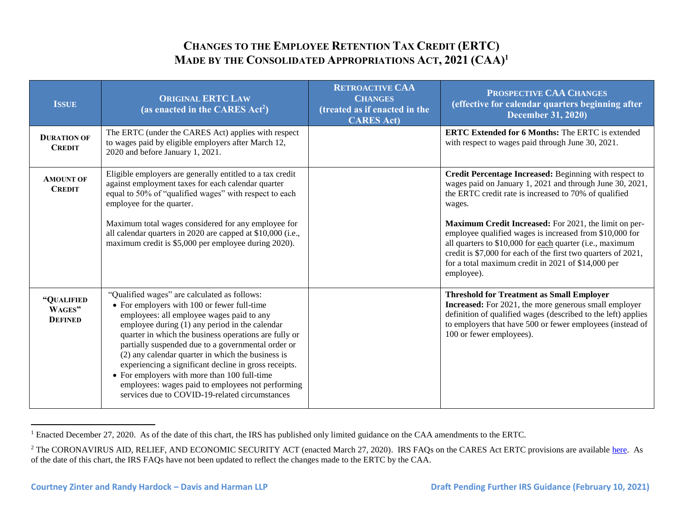## **CHANGES TO THE EMPLOYEE RETENTION TAX CREDIT (ERTC) MADE BY THE CONSOLIDATED APPROPRIATIONS ACT, 2021 (CAA)<sup>1</sup>**

| <b>ISSUE</b>                           | <b>ORIGINAL ERTC LAW</b><br>(as enacted in the CARES Act <sup>2</sup> )                                                                                                                                                                                                                                                                                                                                                                                                                                                                                                        | <b>RETROACTIVE CAA</b><br><b>CHANGES</b><br>(treated as if enacted in the<br><b>CARES Act)</b> | PROSPECTIVE CAA CHANGES<br>(effective for calendar quarters beginning after<br><b>December 31, 2020)</b>                                                                                                                                                                                                                                                                                                                                                                                                   |
|----------------------------------------|--------------------------------------------------------------------------------------------------------------------------------------------------------------------------------------------------------------------------------------------------------------------------------------------------------------------------------------------------------------------------------------------------------------------------------------------------------------------------------------------------------------------------------------------------------------------------------|------------------------------------------------------------------------------------------------|------------------------------------------------------------------------------------------------------------------------------------------------------------------------------------------------------------------------------------------------------------------------------------------------------------------------------------------------------------------------------------------------------------------------------------------------------------------------------------------------------------|
| <b>DURATION OF</b><br><b>CREDIT</b>    | The ERTC (under the CARES Act) applies with respect<br>to wages paid by eligible employers after March 12,<br>2020 and before January 1, 2021.                                                                                                                                                                                                                                                                                                                                                                                                                                 |                                                                                                | <b>ERTC Extended for 6 Months:</b> The ERTC is extended<br>with respect to wages paid through June 30, 2021.                                                                                                                                                                                                                                                                                                                                                                                               |
| <b>AMOUNT OF</b><br><b>CREDIT</b>      | Eligible employers are generally entitled to a tax credit<br>against employment taxes for each calendar quarter<br>equal to 50% of "qualified wages" with respect to each<br>employee for the quarter.<br>Maximum total wages considered for any employee for<br>all calendar quarters in 2020 are capped at \$10,000 (i.e.,<br>maximum credit is \$5,000 per employee during 2020).                                                                                                                                                                                           |                                                                                                | Credit Percentage Increased: Beginning with respect to<br>wages paid on January 1, 2021 and through June 30, 2021,<br>the ERTC credit rate is increased to 70% of qualified<br>wages.<br>Maximum Credit Increased: For 2021, the limit on per-<br>employee qualified wages is increased from \$10,000 for<br>all quarters to \$10,000 for each quarter (i.e., maximum<br>credit is \$7,000 for each of the first two quarters of 2021,<br>for a total maximum credit in 2021 of \$14,000 per<br>employee). |
| "QUALIFIED<br>WAGES"<br><b>DEFINED</b> | "Qualified wages" are calculated as follows:<br>• For employers with 100 or fewer full-time<br>employees: all employee wages paid to any<br>employee during (1) any period in the calendar<br>quarter in which the business operations are fully or<br>partially suspended due to a governmental order or<br>(2) any calendar quarter in which the business is<br>experiencing a significant decline in gross receipts.<br>• For employers with more than 100 full-time<br>employees: wages paid to employees not performing<br>services due to COVID-19-related circumstances |                                                                                                | <b>Threshold for Treatment as Small Employer</b><br><b>Increased:</b> For 2021, the more generous small employer<br>definition of qualified wages (described to the left) applies<br>to employers that have 500 or fewer employees (instead of<br>100 or fewer employees).                                                                                                                                                                                                                                 |

<sup>&</sup>lt;sup>1</sup> Enacted December 27, 2020. As of the date of this chart, the IRS has published only limited guidance on the CAA amendments to the ERTC.

 $\overline{a}$ 

<sup>&</sup>lt;sup>2</sup> The CORONAVIRUS AID, RELIEF, AND ECONOMIC SECURITY ACT (enacted March 27, 2020). IRS FAQs on the CARES Act ERTC provisions are available here. As of the date of this chart, the IRS FAQs have not been updated to reflect the changes made to the ERTC by the CAA.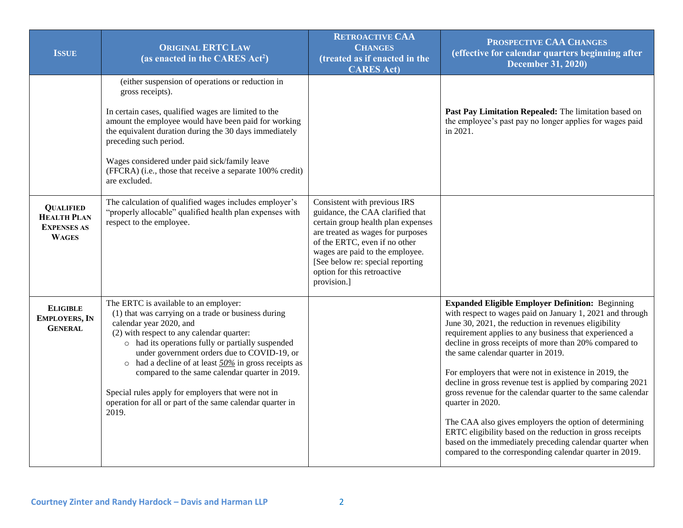| <b>ISSUE</b>                                                                 | <b>ORIGINAL ERTC LAW</b><br>(as enacted in the CARES Act <sup>2</sup> )                                                                                                                                                                                                                                                                                                                                                                                                                                                    | <b>RETROACTIVE CAA</b><br><b>CHANGES</b><br>(treated as if enacted in the<br><b>CARES Act)</b>                                                                                                                                                                                                    | PROSPECTIVE CAA CHANGES<br>(effective for calendar quarters beginning after<br><b>December 31, 2020)</b>                                                                                                                                                                                                                                                                                                                                                                                                                                                                                                                                                                                                                                                                                       |
|------------------------------------------------------------------------------|----------------------------------------------------------------------------------------------------------------------------------------------------------------------------------------------------------------------------------------------------------------------------------------------------------------------------------------------------------------------------------------------------------------------------------------------------------------------------------------------------------------------------|---------------------------------------------------------------------------------------------------------------------------------------------------------------------------------------------------------------------------------------------------------------------------------------------------|------------------------------------------------------------------------------------------------------------------------------------------------------------------------------------------------------------------------------------------------------------------------------------------------------------------------------------------------------------------------------------------------------------------------------------------------------------------------------------------------------------------------------------------------------------------------------------------------------------------------------------------------------------------------------------------------------------------------------------------------------------------------------------------------|
|                                                                              | (either suspension of operations or reduction in<br>gross receipts).<br>In certain cases, qualified wages are limited to the<br>amount the employee would have been paid for working<br>the equivalent duration during the 30 days immediately<br>preceding such period.<br>Wages considered under paid sick/family leave<br>(FFCRA) (i.e., those that receive a separate 100% credit)<br>are excluded.                                                                                                                    |                                                                                                                                                                                                                                                                                                   | Past Pay Limitation Repealed: The limitation based on<br>the employee's past pay no longer applies for wages paid<br>in 2021.                                                                                                                                                                                                                                                                                                                                                                                                                                                                                                                                                                                                                                                                  |
| <b>QUALIFIED</b><br><b>HEALTH PLAN</b><br><b>EXPENSES AS</b><br><b>WAGES</b> | The calculation of qualified wages includes employer's<br>"properly allocable" qualified health plan expenses with<br>respect to the employee.                                                                                                                                                                                                                                                                                                                                                                             | Consistent with previous IRS<br>guidance, the CAA clarified that<br>certain group health plan expenses<br>are treated as wages for purposes<br>of the ERTC, even if no other<br>wages are paid to the employee.<br>[See below re: special reporting<br>option for this retroactive<br>provision.] |                                                                                                                                                                                                                                                                                                                                                                                                                                                                                                                                                                                                                                                                                                                                                                                                |
| <b>ELIGIBLE</b><br><b>EMPLOYERS, IN</b><br><b>GENERAL</b>                    | The ERTC is available to an employer:<br>(1) that was carrying on a trade or business during<br>calendar year 2020, and<br>(2) with respect to any calendar quarter:<br>o had its operations fully or partially suspended<br>under government orders due to COVID-19, or<br>had a decline of at least $50\%$ in gross receipts as<br>$\circ$<br>compared to the same calendar quarter in 2019.<br>Special rules apply for employers that were not in<br>operation for all or part of the same calendar quarter in<br>2019. |                                                                                                                                                                                                                                                                                                   | <b>Expanded Eligible Employer Definition: Beginning</b><br>with respect to wages paid on January 1, 2021 and through<br>June 30, 2021, the reduction in revenues eligibility<br>requirement applies to any business that experienced a<br>decline in gross receipts of more than 20% compared to<br>the same calendar quarter in 2019.<br>For employers that were not in existence in 2019, the<br>decline in gross revenue test is applied by comparing 2021<br>gross revenue for the calendar quarter to the same calendar<br>quarter in 2020.<br>The CAA also gives employers the option of determining<br>ERTC eligibility based on the reduction in gross receipts<br>based on the immediately preceding calendar quarter when<br>compared to the corresponding calendar quarter in 2019. |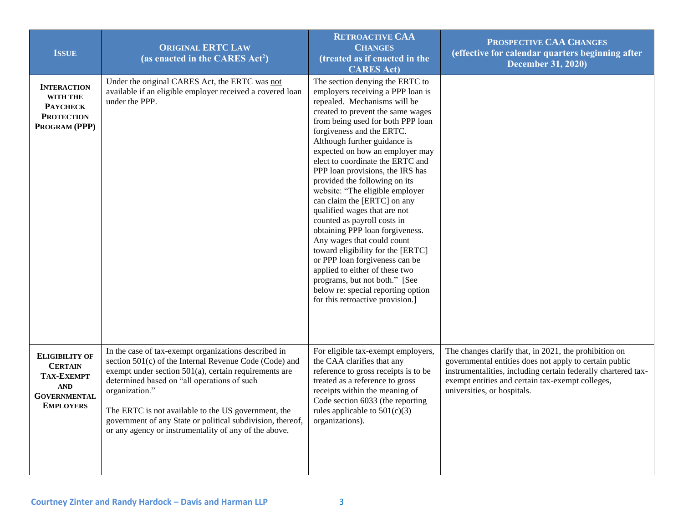| <b>ISSUE</b>                                                                                                          | <b>ORIGINAL ERTC LAW</b><br>(as enacted in the CARES Act <sup>2</sup> )                                                                                                                                                                                                                                                                                                                                                   | <b>RETROACTIVE CAA</b><br><b>CHANGES</b><br>(treated as if enacted in the<br><b>CARES Act)</b>                                                                                                                                                                                                                                                                                                                                                                                                                                                                                                                                                                                                                                                                                                                | PROSPECTIVE CAA CHANGES<br>(effective for calendar quarters beginning after<br><b>December 31, 2020)</b>                                                                                                                                                            |
|-----------------------------------------------------------------------------------------------------------------------|---------------------------------------------------------------------------------------------------------------------------------------------------------------------------------------------------------------------------------------------------------------------------------------------------------------------------------------------------------------------------------------------------------------------------|---------------------------------------------------------------------------------------------------------------------------------------------------------------------------------------------------------------------------------------------------------------------------------------------------------------------------------------------------------------------------------------------------------------------------------------------------------------------------------------------------------------------------------------------------------------------------------------------------------------------------------------------------------------------------------------------------------------------------------------------------------------------------------------------------------------|---------------------------------------------------------------------------------------------------------------------------------------------------------------------------------------------------------------------------------------------------------------------|
| <b>INTERACTION</b><br>WITH THE<br><b>PAYCHECK</b><br><b>PROTECTION</b><br>PROGRAM (PPP)                               | Under the original CARES Act, the ERTC was not<br>available if an eligible employer received a covered loan<br>under the PPP.                                                                                                                                                                                                                                                                                             | The section denying the ERTC to<br>employers receiving a PPP loan is<br>repealed. Mechanisms will be<br>created to prevent the same wages<br>from being used for both PPP loan<br>forgiveness and the ERTC.<br>Although further guidance is<br>expected on how an employer may<br>elect to coordinate the ERTC and<br>PPP loan provisions, the IRS has<br>provided the following on its<br>website: "The eligible employer<br>can claim the [ERTC] on any<br>qualified wages that are not<br>counted as payroll costs in<br>obtaining PPP loan forgiveness.<br>Any wages that could count<br>toward eligibility for the [ERTC]<br>or PPP loan forgiveness can be<br>applied to either of these two<br>programs, but not both." [See<br>below re: special reporting option<br>for this retroactive provision.] |                                                                                                                                                                                                                                                                     |
| <b>ELIGIBILITY OF</b><br><b>CERTAIN</b><br><b>TAX-EXEMPT</b><br><b>AND</b><br><b>GOVERNMENTAL</b><br><b>EMPLOYERS</b> | In the case of tax-exempt organizations described in<br>section 501(c) of the Internal Revenue Code (Code) and<br>exempt under section $501(a)$ , certain requirements are<br>determined based on "all operations of such<br>organization."<br>The ERTC is not available to the US government, the<br>government of any State or political subdivision, thereof,<br>or any agency or instrumentality of any of the above. | For eligible tax-exempt employers,<br>the CAA clarifies that any<br>reference to gross receipts is to be<br>treated as a reference to gross<br>receipts within the meaning of<br>Code section 6033 (the reporting<br>rules applicable to $501(c)(3)$<br>organizations).                                                                                                                                                                                                                                                                                                                                                                                                                                                                                                                                       | The changes clarify that, in 2021, the prohibition on<br>governmental entities does not apply to certain public<br>instrumentalities, including certain federally chartered tax-<br>exempt entities and certain tax-exempt colleges,<br>universities, or hospitals. |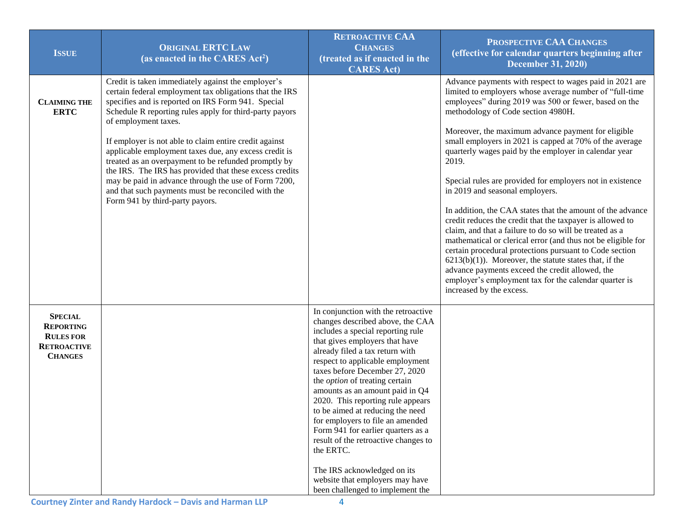| <b>ISSUE</b>                                                                                   | <b>ORIGINAL ERTC LAW</b><br>(as enacted in the CARES Act <sup>2</sup> )                                                                                                                                                                                                                                                                                                                                                                                                                                                                                                                                                                       | <b>RETROACTIVE CAA</b><br><b>CHANGES</b><br>(treated as if enacted in the<br><b>CARES Act)</b>                                                                                                                                                                                                                                                                                                                                                                                                                                                                                                                                                    | PROSPECTIVE CAA CHANGES<br>(effective for calendar quarters beginning after<br><b>December 31, 2020)</b>                                                                                                                                                                                                                                                                                                                                                                                                                                                                                                                                                                                                                                                                                                                                                                                                                                                                                                                   |
|------------------------------------------------------------------------------------------------|-----------------------------------------------------------------------------------------------------------------------------------------------------------------------------------------------------------------------------------------------------------------------------------------------------------------------------------------------------------------------------------------------------------------------------------------------------------------------------------------------------------------------------------------------------------------------------------------------------------------------------------------------|---------------------------------------------------------------------------------------------------------------------------------------------------------------------------------------------------------------------------------------------------------------------------------------------------------------------------------------------------------------------------------------------------------------------------------------------------------------------------------------------------------------------------------------------------------------------------------------------------------------------------------------------------|----------------------------------------------------------------------------------------------------------------------------------------------------------------------------------------------------------------------------------------------------------------------------------------------------------------------------------------------------------------------------------------------------------------------------------------------------------------------------------------------------------------------------------------------------------------------------------------------------------------------------------------------------------------------------------------------------------------------------------------------------------------------------------------------------------------------------------------------------------------------------------------------------------------------------------------------------------------------------------------------------------------------------|
| <b>CLAIMING THE</b><br><b>ERTC</b>                                                             | Credit is taken immediately against the employer's<br>certain federal employment tax obligations that the IRS<br>specifies and is reported on IRS Form 941. Special<br>Schedule R reporting rules apply for third-party payors<br>of employment taxes.<br>If employer is not able to claim entire credit against<br>applicable employment taxes due, any excess credit is<br>treated as an overpayment to be refunded promptly by<br>the IRS. The IRS has provided that these excess credits<br>may be paid in advance through the use of Form 7200,<br>and that such payments must be reconciled with the<br>Form 941 by third-party payors. |                                                                                                                                                                                                                                                                                                                                                                                                                                                                                                                                                                                                                                                   | Advance payments with respect to wages paid in 2021 are<br>limited to employers whose average number of "full-time<br>employees" during 2019 was 500 or fewer, based on the<br>methodology of Code section 4980H.<br>Moreover, the maximum advance payment for eligible<br>small employers in 2021 is capped at 70% of the average<br>quarterly wages paid by the employer in calendar year<br>2019.<br>Special rules are provided for employers not in existence<br>in 2019 and seasonal employers.<br>In addition, the CAA states that the amount of the advance<br>credit reduces the credit that the taxpayer is allowed to<br>claim, and that a failure to do so will be treated as a<br>mathematical or clerical error (and thus not be eligible for<br>certain procedural protections pursuant to Code section<br>$6213(b)(1)$ ). Moreover, the statute states that, if the<br>advance payments exceed the credit allowed, the<br>employer's employment tax for the calendar quarter is<br>increased by the excess. |
| <b>SPECIAL</b><br><b>REPORTING</b><br><b>RULES FOR</b><br><b>RETROACTIVE</b><br><b>CHANGES</b> |                                                                                                                                                                                                                                                                                                                                                                                                                                                                                                                                                                                                                                               | In conjunction with the retroactive<br>changes described above, the CAA<br>includes a special reporting rule<br>that gives employers that have<br>already filed a tax return with<br>respect to applicable employment<br>taxes before December 27, 2020<br>the <i>option</i> of treating certain<br>amounts as an amount paid in Q4<br>2020. This reporting rule appears<br>to be aimed at reducing the need<br>for employers to file an amended<br>Form 941 for earlier quarters as a<br>result of the retroactive changes to<br>the ERTC.<br>The IRS acknowledged on its<br>website that employers may have<br>been challenged to implement the |                                                                                                                                                                                                                                                                                                                                                                                                                                                                                                                                                                                                                                                                                                                                                                                                                                                                                                                                                                                                                            |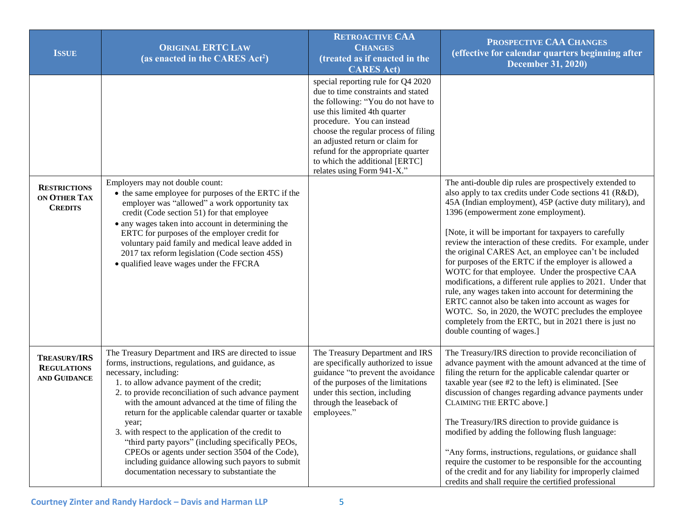| <b>ISSUE</b>                                              | <b>ORIGINAL ERTC LAW</b><br>(as enacted in the CARES Act <sup>2</sup> )                                                                                                                                                                                                                                                                                                                                                                                                                                                                                                                                                                 | <b>RETROACTIVE CAA</b><br><b>CHANGES</b><br>(treated as if enacted in the<br><b>CARES Act)</b>                                                                                                                                                                                                                                                                | PROSPECTIVE CAA CHANGES<br>(effective for calendar quarters beginning after<br><b>December 31, 2020)</b>                                                                                                                                                                                                                                                                                                                                                                                                                                                                                                                                                                                                                                                                                                                                            |
|-----------------------------------------------------------|-----------------------------------------------------------------------------------------------------------------------------------------------------------------------------------------------------------------------------------------------------------------------------------------------------------------------------------------------------------------------------------------------------------------------------------------------------------------------------------------------------------------------------------------------------------------------------------------------------------------------------------------|---------------------------------------------------------------------------------------------------------------------------------------------------------------------------------------------------------------------------------------------------------------------------------------------------------------------------------------------------------------|-----------------------------------------------------------------------------------------------------------------------------------------------------------------------------------------------------------------------------------------------------------------------------------------------------------------------------------------------------------------------------------------------------------------------------------------------------------------------------------------------------------------------------------------------------------------------------------------------------------------------------------------------------------------------------------------------------------------------------------------------------------------------------------------------------------------------------------------------------|
|                                                           |                                                                                                                                                                                                                                                                                                                                                                                                                                                                                                                                                                                                                                         | special reporting rule for Q4 2020<br>due to time constraints and stated<br>the following: "You do not have to<br>use this limited 4th quarter<br>procedure. You can instead<br>choose the regular process of filing<br>an adjusted return or claim for<br>refund for the appropriate quarter<br>to which the additional [ERTC]<br>relates using Form 941-X." |                                                                                                                                                                                                                                                                                                                                                                                                                                                                                                                                                                                                                                                                                                                                                                                                                                                     |
| <b>RESTRICTIONS</b><br>ON OTHER TAX<br><b>CREDITS</b>     | Employers may not double count:<br>• the same employee for purposes of the ERTC if the<br>employer was "allowed" a work opportunity tax<br>credit (Code section 51) for that employee<br>• any wages taken into account in determining the<br>ERTC for purposes of the employer credit for<br>voluntary paid family and medical leave added in<br>2017 tax reform legislation (Code section 45S)<br>• qualified leave wages under the FFCRA                                                                                                                                                                                             |                                                                                                                                                                                                                                                                                                                                                               | The anti-double dip rules are prospectively extended to<br>also apply to tax credits under Code sections 41 (R&D),<br>45A (Indian employment), 45P (active duty military), and<br>1396 (empowerment zone employment).<br>[Note, it will be important for taxpayers to carefully<br>review the interaction of these credits. For example, under<br>the original CARES Act, an employee can't be included<br>for purposes of the ERTC if the employer is allowed a<br>WOTC for that employee. Under the prospective CAA<br>modifications, a different rule applies to 2021. Under that<br>rule, any wages taken into account for determining the<br>ERTC cannot also be taken into account as wages for<br>WOTC. So, in 2020, the WOTC precludes the employee<br>completely from the ERTC, but in 2021 there is just no<br>double counting of wages.] |
| <b>TREASURY/IRS</b><br><b>REGULATIONS</b><br>AND GUIDANCE | The Treasury Department and IRS are directed to issue<br>forms, instructions, regulations, and guidance, as<br>necessary, including:<br>1. to allow advance payment of the credit;<br>2. to provide reconciliation of such advance payment<br>with the amount advanced at the time of filing the<br>return for the applicable calendar quarter or taxable<br>year;<br>3. with respect to the application of the credit to<br>"third party payors" (including specifically PEOs,<br>CPEOs or agents under section 3504 of the Code),<br>including guidance allowing such payors to submit<br>documentation necessary to substantiate the | The Treasury Department and IRS<br>are specifically authorized to issue<br>guidance "to prevent the avoidance<br>of the purposes of the limitations<br>under this section, including<br>through the leaseback of<br>employees."                                                                                                                               | The Treasury/IRS direction to provide reconciliation of<br>advance payment with the amount advanced at the time of<br>filing the return for the applicable calendar quarter or<br>taxable year (see #2 to the left) is eliminated. [See<br>discussion of changes regarding advance payments under<br>CLAIMING THE ERTC above.]<br>The Treasury/IRS direction to provide guidance is<br>modified by adding the following flush language:<br>"Any forms, instructions, regulations, or guidance shall<br>require the customer to be responsible for the accounting<br>of the credit and for any liability for improperly claimed<br>credits and shall require the certified professional                                                                                                                                                              |